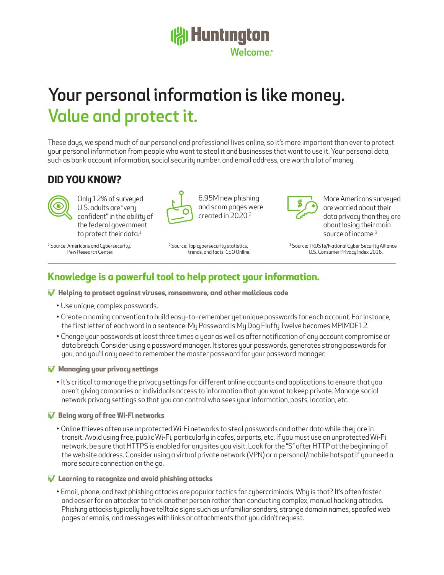## **(常Huntington** Welcome

# Your personal information is like money. Value and protect it.

These days, we spend much of our personal and professional lives online, so it's more important than ever to protect your personal information from people who want to steal it and businesses that want to use it. Your personal data, such as bank account information, social security number, and email address, are worth a lot of money.

> 6.95M new phishing and scam pages were created in 2020.2

## **DID YOU KNOW?**



Only 12% of surveyed U.S. adults are "very confident" in the ability of the federal government to protect their data. $1$ 

<sup>1</sup> Source: Americans and Cybersecurity. Pew Research Center.

<sup>2</sup> Source: Top cubersecurity statistics, trends, and facts. CSO Online.



More Americans surveyed are worried about their data privacy than they are about losing their main source of income.<sup>3</sup>

<sup>3</sup> Source: TRUSTe/National Cyber Security Alliance U.S. Consumer Privacy Index 2016.

## **Knowledge is a powerful tool to help protect your information.**

#### □**√ Helping to protect against viruses, ransomware, and other malicious code**

- Use unique, complex passwords.
- Create a naming convention to build easy–to–remember yet unique passwords for each account. For instance, the first letter of each word in a sentence: My Password Is My Dog Fluffy Twelve becomes MPIMDF12.
- Change your passwords at least three times a year as well as after notification of any account compromise or data breach. Consider using a password manager. It stores your passwords, generates strong passwords for you, and you'll only need to remember the master password for your password manager.

#### □**√ Managing your privacy settings**

• It's critical to manage the privacy settings for different online accounts and applications to ensure that you aren't giving companies or individuals access to information that you want to keep private. Manage social network privacy settings so that you can control who sees your information, posts, location, etc.

#### □**√ Being wary of free Wi-Fi networks**

• Online thieves often use unprotected Wi-Fi networks to steal passwords and other data while they are in transit. Avoid using free, public Wi-Fi, particularly in cafes, airports, etc. If you must use an unprotected Wi-Fi network, be sure that HTTPS is enabled for any sites you visit. Look for the "S" after HTTP at the beginning of the website address. Consider using a virtual private network (VPN) or a personal/mobile hotspot if you need a more secure connection on the go.

#### □**√ Learning to recognize and avoid phishing attacks**

• Email, phone, and text phishing attacks are popular tactics for cybercriminals. Why is that? It's often faster and easier for an attacker to trick another person rather than conducting complex, manual hacking attacks. Phishing attacks typically have telltale signs such as unfamiliar senders, strange domain names, spoofed web pages or emails, and messages with links or attachments that you didn't request.